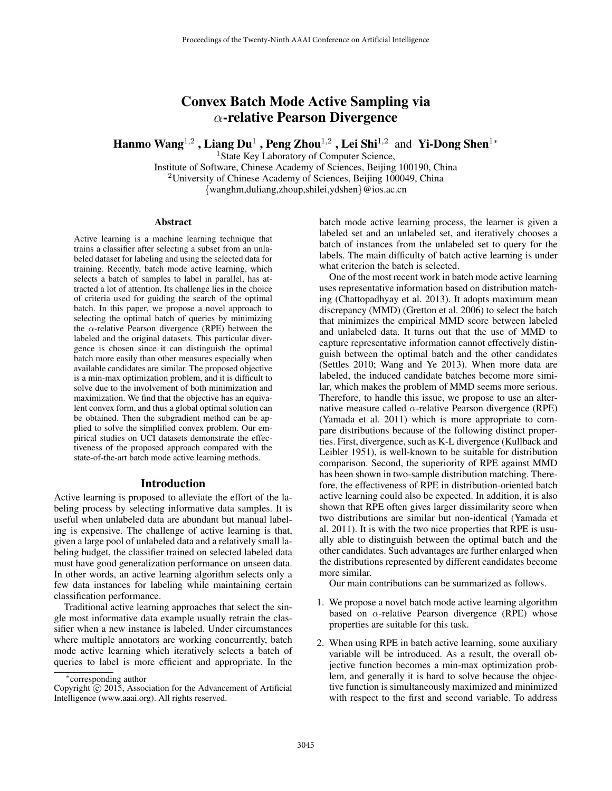# Convex Batch Mode Active Sampling via  $\alpha$ -relative Pearson Divergence

Hanmo Wang $^{1,2}$  , Liang Du $^1$  , Peng Zhou $^{1,2}$  , Lei Shi $^{1,2}\,$  and Yi-Dong Shen $^{1*}\,$ 

<sup>1</sup> State Key Laboratory of Computer Science, Institute of Software, Chinese Academy of Sciences, Beijing 100190, China <sup>2</sup>University of Chinese Academy of Sciences, Beijing 100049, China

{wanghm,duliang,zhoup,shilei,ydshen}@ios.ac.cn

#### **Abstract**

Active learning is a machine learning technique that trains a classifier after selecting a subset from an unlabeled dataset for labeling and using the selected data for training. Recently, batch mode active learning, which selects a batch of samples to label in parallel, has attracted a lot of attention. Its challenge lies in the choice of criteria used for guiding the search of the optimal batch. In this paper, we propose a novel approach to selecting the optimal batch of queries by minimizing the  $\alpha$ -relative Pearson divergence (RPE) between the labeled and the original datasets. This particular divergence is chosen since it can distinguish the optimal batch more easily than other measures especially when available candidates are similar. The proposed objective is a min-max optimization problem, and it is difficult to solve due to the involvement of both minimization and maximization. We find that the objective has an equivalent convex form, and thus a global optimal solution can be obtained. Then the subgradient method can be applied to solve the simplified convex problem. Our empirical studies on UCI datasets demonstrate the effectiveness of the proposed approach compared with the state-of-the-art batch mode active learning methods.

#### Introduction

Active learning is proposed to alleviate the effort of the labeling process by selecting informative data samples. It is useful when unlabeled data are abundant but manual labeling is expensive. The challenge of active learning is that, given a large pool of unlabeled data and a relatively small labeling budget, the classifier trained on selected labeled data must have good generalization performance on unseen data. In other words, an active learning algorithm selects only a few data instances for labeling while maintaining certain classification performance.

Traditional active learning approaches that select the single most informative data example usually retrain the classifier when a new instance is labeled. Under circumstances where multiple annotators are working concurrently, batch mode active learning which iteratively selects a batch of queries to label is more efficient and appropriate. In the

batch mode active learning process, the learner is given a labeled set and an unlabeled set, and iteratively chooses a batch of instances from the unlabeled set to query for the labels. The main difficulty of batch active learning is under what criterion the batch is selected.

One of the most recent work in batch mode active learning uses representative information based on distribution matching (Chattopadhyay et al. 2013). It adopts maximum mean discrepancy (MMD) (Gretton et al. 2006) to select the batch that minimizes the empirical MMD score between labeled and unlabeled data. It turns out that the use of MMD to capture representative information cannot effectively distinguish between the optimal batch and the other candidates (Settles 2010; Wang and Ye 2013). When more data are labeled, the induced candidate batches become more similar, which makes the problem of MMD seems more serious. Therefore, to handle this issue, we propose to use an alternative measure called  $\alpha$ -relative Pearson divergence (RPE) (Yamada et al. 2011) which is more appropriate to compare distributions because of the following distinct properties. First, divergence, such as K-L divergence (Kullback and Leibler 1951), is well-known to be suitable for distribution comparison. Second, the superiority of RPE against MMD has been shown in two-sample distribution matching. Therefore, the effectiveness of RPE in distribution-oriented batch active learning could also be expected. In addition, it is also shown that RPE often gives larger dissimilarity score when two distributions are similar but non-identical (Yamada et al. 2011). It is with the two nice properties that RPE is usually able to distinguish between the optimal batch and the other candidates. Such advantages are further enlarged when the distributions represented by different candidates become more similar.

Our main contributions can be summarized as follows.

- 1. We propose a novel batch mode active learning algorithm based on  $\alpha$ -relative Pearson divergence (RPE) whose properties are suitable for this task.
- 2. When using RPE in batch active learning, some auxiliary variable will be introduced. As a result, the overall objective function becomes a min-max optimization problem, and generally it is hard to solve because the objective function is simultaneously maximized and minimized with respect to the first and second variable. To address

<sup>∗</sup> corresponding author

Copyright  $\overline{c}$  2015, Association for the Advancement of Artificial Intelligence (www.aaai.org). All rights reserved.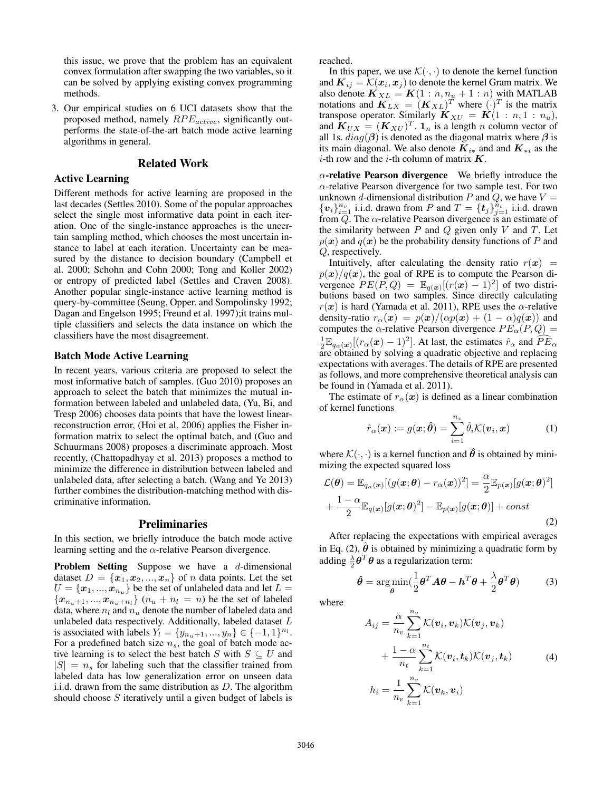this issue, we prove that the problem has an equivalent convex formulation after swapping the two variables, so it can be solved by applying existing convex programming methods.

3. Our empirical studies on 6 UCI datasets show that the proposed method, namely  $RPE_{active}$ , significantly outperforms the state-of-the-art batch mode active learning algorithms in general.

# Related Work

#### Active Learning

Different methods for active learning are proposed in the last decades (Settles 2010). Some of the popular approaches select the single most informative data point in each iteration. One of the single-instance approaches is the uncertain sampling method, which chooses the most uncertain instance to label at each iteration. Uncertainty can be measured by the distance to decision boundary (Campbell et al. 2000; Schohn and Cohn 2000; Tong and Koller 2002) or entropy of predicted label (Settles and Craven 2008). Another popular single-instance active learning method is query-by-committee (Seung, Opper, and Sompolinsky 1992; Dagan and Engelson 1995; Freund et al. 1997);it trains multiple classifiers and selects the data instance on which the classifiers have the most disagreement.

# Batch Mode Active Learning

In recent years, various criteria are proposed to select the most informative batch of samples. (Guo 2010) proposes an approach to select the batch that minimizes the mutual information between labeled and unlabeled data, (Yu, Bi, and Tresp 2006) chooses data points that have the lowest linearreconstruction error, (Hoi et al. 2006) applies the Fisher information matrix to select the optimal batch, and (Guo and Schuurmans 2008) proposes a discriminate approach. Most recently, (Chattopadhyay et al. 2013) proposes a method to minimize the difference in distribution between labeled and unlabeled data, after selecting a batch. (Wang and Ye 2013) further combines the distribution-matching method with discriminative information.

#### Preliminaries

In this section, we briefly introduce the batch mode active learning setting and the  $\alpha$ -relative Pearson divergence.

Problem Setting Suppose we have a d-dimensional dataset  $D = \{x_1, x_2, ..., x_n\}$  of n data points. Let the set  $U = \{\boldsymbol{x}_1, ..., \boldsymbol{x}_{n_u}\}$  be the set of unlabeled data and let  $L =$  ${x_{n_u+1},...,x_{n_u+n_l}} (n_u + n_l = n)$  be the set of labeled data, where  $n_l$  and  $n_u$  denote the number of labeled data and unlabeled data respectively. Additionally, labeled dataset L is associated with labels  $Y_l = \{y_{n_u+1}, ..., y_n\} \in \{-1, 1\}^{n_l}$ . For a predefined batch size  $n<sub>s</sub>$ , the goal of batch mode active learning is to select the best batch S with  $S \subseteq U$  and  $|S| = n_s$  for labeling such that the classifier trained from labeled data has low generalization error on unseen data i.i.d. drawn from the same distribution as  $D$ . The algorithm should choose S iteratively until a given budget of labels is reached.

In this paper, we use  $\mathcal{K}(\cdot, \cdot)$  to denote the kernel function and  $\boldsymbol{K}_{ij} = \mathcal{K}(\boldsymbol{x}_i, \boldsymbol{x}_j)$  to denote the kernel Gram matrix. We also denote  $\mathbf{K}_{XL} = \mathbf{K}(1:n, n_u + 1:n)$  with MATLAB notations and  $\mathbf{K}_{LX} = (\mathbf{K}_{XL})^T$  where  $(\cdot)^T$  is the matrix transpose operator. Similarly  $\mathbf{K}_{XU} = \mathbf{K}(1:n,1:n_u),$ and  $\mathbf{K}_{UX} = (\mathbf{K}_{XU})^T$ .  $\mathbf{1}_n$  is a length n column vector of all 1s.  $diag(\beta)$  is denoted as the diagonal matrix where  $\beta$  is its main diagonal. We also denote  $\overline{K}_{i*}$  and and  $K_{*i}$  as the *i*-th row and the *i*-th column of matrix  $K$ .

 $\alpha$ -relative Pearson divergence We briefly introduce the  $\alpha$ -relative Pearson divergence for two sample test. For two unknown d-dimensional distribution P and Q, we have  $V =$  $\{v_i\}_{i=1}^{n_v}$  i.i.d. drawn from P and  $T = \{t_j\}_{j=1}^{n_t}$  i.i.d. drawn from  $Q$ . The  $\alpha$ -relative Pearson divergence is an estimate of the similarity between  $P$  and  $Q$  given only  $V$  and  $T$ . Let  $p(x)$  and  $q(x)$  be the probability density functions of P and Q, respectively.

Intuitively, after calculating the density ratio  $r(x)$  =  $p(x)/q(x)$ , the goal of RPE is to compute the Pearson divergence  $PE(P,Q) = \mathbb{E}_{q(x)}[(r(x)-1)^2]$  of two distributions based on two samples. Since directly calculating  $r(x)$  is hard (Yamada et al. 2011), RPE uses the  $\alpha$ -relative density-ratio  $r_{\alpha}(\boldsymbol{x}) = p(\boldsymbol{x})/(\alpha p(\boldsymbol{x}) + (1 - \alpha)q(\boldsymbol{x}))$  and computes the  $\alpha$ -relative Pearson divergence  $PE_{\alpha}(P,Q)$  =  $\frac{1}{2} \mathbb{E}_{q_{\alpha}(\boldsymbol{x})}[(r_{\alpha}(\boldsymbol{x})-1)^{2}]$ . At last, the estimates  $\hat{r}_{\alpha}$  and  $\widehat{PE}_{\alpha}$ are obtained by solving a quadratic objective and replacing expectations with averages. The details of RPE are presented as follows, and more comprehensive theoretical analysis can be found in (Yamada et al. 2011).

The estimate of  $r_\alpha(x)$  is defined as a linear combination of kernel functions

$$
\hat{r}_{\alpha}(\boldsymbol{x}) := g(\boldsymbol{x}; \hat{\boldsymbol{\theta}}) = \sum_{i=1}^{n_v} \hat{\theta}_i \mathcal{K}(\boldsymbol{v}_i, \boldsymbol{x}) \tag{1}
$$

where  $\mathcal{K}(\cdot, \cdot)$  is a kernel function and  $\hat{\theta}$  is obtained by minimizing the expected squared loss

$$
\mathcal{L}(\boldsymbol{\theta}) = \mathbb{E}_{q_{\alpha}(\boldsymbol{x})}[(g(\boldsymbol{x};\boldsymbol{\theta}) - r_{\alpha}(\boldsymbol{x}))^{2}] = \frac{\alpha}{2} \mathbb{E}_{p(\boldsymbol{x})}[g(\boldsymbol{x};\boldsymbol{\theta})^{2}] + \frac{1 - \alpha}{2} \mathbb{E}_{q(\boldsymbol{x})}[g(\boldsymbol{x};\boldsymbol{\theta})] - \mathbb{E}_{p(\boldsymbol{x})}[g(\boldsymbol{x};\boldsymbol{\theta})] + const
$$
\n(2)

After replacing the expectations with empirical averages in Eq. (2),  $\hat{\theta}$  is obtained by minimizing a quadratic form by adding  $\frac{\lambda}{2} \boldsymbol{\theta}^T \boldsymbol{\theta}$  as a regularization term:

$$
\hat{\boldsymbol{\theta}} = \argmin_{\boldsymbol{\theta}} (\frac{1}{2} \boldsymbol{\theta}^T \boldsymbol{A} \boldsymbol{\theta} - \boldsymbol{h}^T \boldsymbol{\theta} + \frac{\lambda}{2} \boldsymbol{\theta}^T \boldsymbol{\theta})
$$
(3)

where

$$
A_{ij} = \frac{\alpha}{n_v} \sum_{k=1}^{n_v} \mathcal{K}(\boldsymbol{v}_i, \boldsymbol{v}_k) \mathcal{K}(\boldsymbol{v}_j, \boldsymbol{v}_k)
$$
  
+ 
$$
\frac{1-\alpha}{n_t} \sum_{k=1}^{n_t} \mathcal{K}(\boldsymbol{v}_i, \boldsymbol{t}_k) \mathcal{K}(\boldsymbol{v}_j, \boldsymbol{t}_k)
$$
(4)  

$$
h_i = \frac{1}{n_v} \sum_{k=1}^{n_v} \mathcal{K}(\boldsymbol{v}_k, \boldsymbol{v}_i)
$$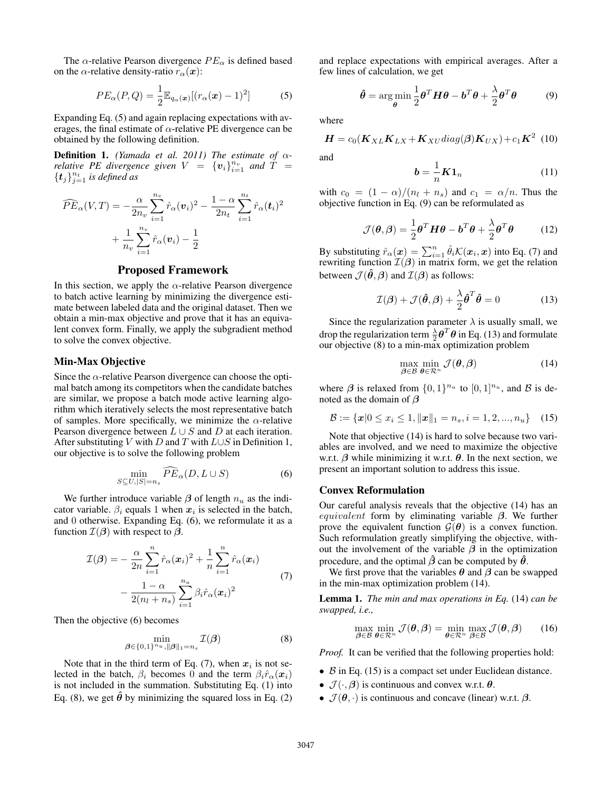The  $\alpha$ -relative Pearson divergence  $PE_{\alpha}$  is defined based on the  $\alpha$ -relative density-ratio  $r_{\alpha}(\boldsymbol{x})$ :

$$
PE_{\alpha}(P,Q) = \frac{1}{2} \mathbb{E}_{q_{\alpha}(\boldsymbol{x})} [(r_{\alpha}(\boldsymbol{x}) - 1)^2]
$$
 (5)

Expanding Eq. (5) and again replacing expectations with averages, the final estimate of  $\alpha$ -relative PE divergence can be obtained by the following definition.

**Definition 1.** *(Yamada et al. 2011) The estimate of*  $\alpha$ *relative PE divergence given*  $V = \{v_i\}_{i=1}^{n_v}$  and  $\hat{T} =$  $\{\boldsymbol{t}_j\}_{j=1}^{n_t}$  is defined as

$$
\widehat{PE}_{\alpha}(V,T) = -\frac{\alpha}{2n_v} \sum_{i=1}^{n_v} \hat{r}_{\alpha}(v_i)^2 - \frac{1-\alpha}{2n_t} \sum_{i=1}^{n_t} \hat{r}_{\alpha}(t_i)^2
$$

$$
+ \frac{1}{n_v} \sum_{i=1}^{n_v} \hat{r}_{\alpha}(v_i) - \frac{1}{2}
$$

#### Proposed Framework

In this section, we apply the  $\alpha$ -relative Pearson divergence to batch active learning by minimizing the divergence estimate between labeled data and the original dataset. Then we obtain a min-max objective and prove that it has an equivalent convex form. Finally, we apply the subgradient method to solve the convex objective.

# Min-Max Objective

Since the  $\alpha$ -relative Pearson divergence can choose the optimal batch among its competitors when the candidate batches are similar, we propose a batch mode active learning algorithm which iteratively selects the most representative batch of samples. More specifically, we minimize the  $\alpha$ -relative Pearson divergence between  $L \cup S$  and D at each iteration. After substituting V with D and T with  $L \cup S$  in Definition 1, our objective is to solve the following problem

$$
\min_{S \subseteq U, |S|=n_s} \widehat{PE}_{\alpha}(D, L \cup S) \tag{6}
$$

We further introduce variable  $\beta$  of length  $n_u$  as the indicator variable.  $\beta_i$  equals 1 when  $x_i$  is selected in the batch, and 0 otherwise. Expanding Eq. (6), we reformulate it as a function  $\mathcal{I}(\boldsymbol{\beta})$  with respect to  $\boldsymbol{\beta}$ .

$$
\mathcal{I}(\boldsymbol{\beta}) = -\frac{\alpha}{2n} \sum_{i=1}^{n} \hat{r}_{\alpha}(\boldsymbol{x}_{i})^{2} + \frac{1}{n} \sum_{i=1}^{n} \hat{r}_{\alpha}(\boldsymbol{x}_{i}) - \frac{1-\alpha}{2(n_{l}+n_{s})} \sum_{i=1}^{n_{u}} \beta_{i} \hat{r}_{\alpha}(\boldsymbol{x}_{i})^{2}
$$
\n(7)

Then the objective (6) becomes

$$
\min_{\boldsymbol{\beta} \in \{0,1\}^{n_u}, \|\boldsymbol{\beta}\|_1 = n_s} \mathcal{I}(\boldsymbol{\beta})
$$
\n(8)

Note that in the third term of Eq. (7), when  $x_i$  is not selected in the batch,  $\beta_i$  becomes 0 and the term  $\beta_i \hat{r}_{\alpha}(\mathbf{x}_i)$ is not included in the summation. Substituting Eq. (1) into Eq. (8), we get  $\hat{\theta}$  by minimizing the squared loss in Eq. (2)

and replace expectations with empirical averages. After a few lines of calculation, we get

$$
\hat{\boldsymbol{\theta}} = \argmin_{\boldsymbol{\theta}} \frac{1}{2} \boldsymbol{\theta}^T \boldsymbol{H} \boldsymbol{\theta} - \boldsymbol{b}^T \boldsymbol{\theta} + \frac{\lambda}{2} \boldsymbol{\theta}^T \boldsymbol{\theta}
$$
(9)

where

$$
\boldsymbol{H} = c_0(\boldsymbol{K}_{XL}\boldsymbol{K}_{LX} + \boldsymbol{K}_{XU}diag(\boldsymbol{\beta})\boldsymbol{K}_{UX}) + c_1\boldsymbol{K}^2
$$
 (10)

and

$$
\mathbf{b} = \frac{1}{n} \mathbf{K} \mathbf{1}_n \tag{11}
$$

with  $c_0 = (1 - \alpha)/(n_l + n_s)$  and  $c_1 = \alpha/n$ . Thus the objective function in Eq. (9) can be reformulated as

$$
\mathcal{J}(\boldsymbol{\theta}, \boldsymbol{\beta}) = \frac{1}{2} \boldsymbol{\theta}^T \boldsymbol{H} \boldsymbol{\theta} - \boldsymbol{b}^T \boldsymbol{\theta} + \frac{\lambda}{2} \boldsymbol{\theta}^T \boldsymbol{\theta}
$$
 (12)

By substituting  $\hat{r}_{\alpha}(\boldsymbol{x}) = \sum_{i=1}^{n} \hat{\theta}_i \mathcal{K}(\boldsymbol{x}_i, \boldsymbol{x})$  into Eq. (7) and rewriting function  $\mathcal{I}(\beta)$  in matrix form, we get the relation between  $\mathcal{J}(\hat{\theta}, \beta)$  and  $\mathcal{I}(\beta)$  as follows:

$$
\mathcal{I}(\boldsymbol{\beta}) + \mathcal{J}(\hat{\boldsymbol{\theta}}, \boldsymbol{\beta}) + \frac{\lambda}{2} \hat{\boldsymbol{\theta}}^T \hat{\boldsymbol{\theta}} = 0
$$
 (13)

Since the regularization parameter  $\lambda$  is usually small, we drop the regularization term  $\frac{\lambda}{2} \boldsymbol{\theta}^T \boldsymbol{\theta}$  in Eq. (13) and formulate our objective  $(8)$  to a min-max optimization problem

$$
\max_{\boldsymbol{\beta} \in \mathcal{B}} \min_{\boldsymbol{\theta} \in \mathcal{R}^n} \mathcal{J}(\boldsymbol{\theta}, \boldsymbol{\beta})
$$
\n(14)

where  $\beta$  is relaxed from  $\{0,1\}^{n_u}$  to  $[0,1]^{n_u}$ , and  $\beta$  is denoted as the domain of  $\beta$ 

$$
\mathcal{B} := \{ \boldsymbol{x} | 0 \le x_i \le 1, \|\boldsymbol{x}\|_1 = n_s, i = 1, 2, ..., n_u \} \quad (15)
$$

Note that objective (14) is hard to solve because two variables are involved, and we need to maximize the objective w.r.t.  $\beta$  while minimizing it w.r.t.  $\theta$ . In the next section, we present an important solution to address this issue.

#### Convex Reformulation

Our careful analysis reveals that the objective (14) has an *equivalent* form by eliminating variable  $\beta$ . We further prove the equivalent function  $\mathcal{G}(\theta)$  is a convex function. Such reformulation greatly simplifying the objective, without the involvement of the variable  $\beta$  in the optimization procedure, and the optimal  $\hat{\beta}$  can be computed by  $\hat{\theta}$ .

We first prove that the variables  $\theta$  and  $\beta$  can be swapped in the min-max optimization problem (14).

Lemma 1. *The min and max operations in Eq.* (14) *can be swapped, i.e.,*

$$
\max_{\boldsymbol{\beta} \in \mathcal{B}} \min_{\boldsymbol{\theta} \in \mathcal{R}^n} \mathcal{J}(\boldsymbol{\theta}, \boldsymbol{\beta}) = \min_{\boldsymbol{\theta} \in \mathcal{R}^n} \max_{\boldsymbol{\beta} \in \mathcal{B}} \mathcal{J}(\boldsymbol{\theta}, \boldsymbol{\beta}) \qquad (16)
$$

*Proof.* It can be verified that the following properties hold:

- $\beta$  in Eq. (15) is a compact set under Euclidean distance.
- $\mathcal{J}(\cdot, \beta)$  is continuous and convex w.r.t.  $\theta$ .
- $\mathcal{J}(\theta, \cdot)$  is continuous and concave (linear) w.r.t.  $\beta$ .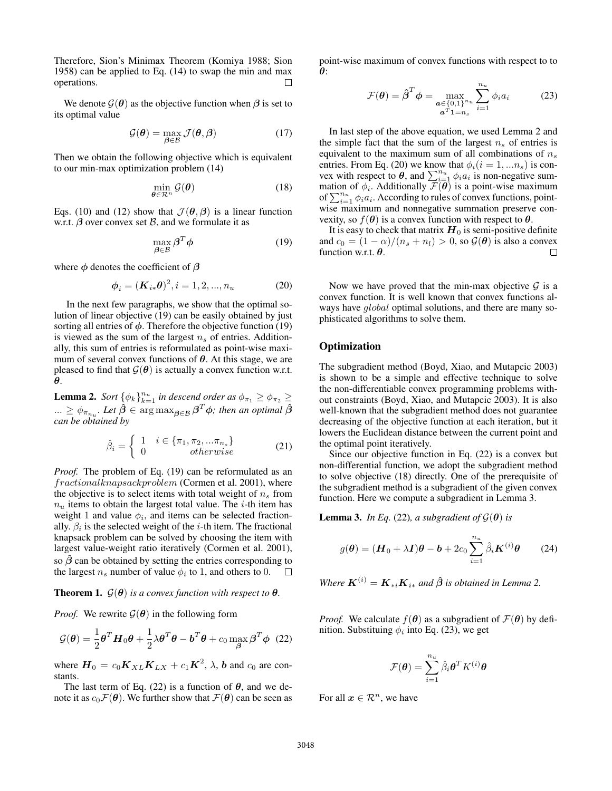Therefore, Sion's Minimax Theorem (Komiya 1988; Sion 1958) can be applied to Eq. (14) to swap the min and max operations.  $\Box$ 

We denote  $G(\theta)$  as the objective function when  $\beta$  is set to its optimal value

$$
\mathcal{G}(\boldsymbol{\theta}) = \max_{\boldsymbol{\beta} \in \mathcal{B}} \mathcal{J}(\boldsymbol{\theta}, \boldsymbol{\beta})
$$
 (17)

Then we obtain the following objective which is equivalent to our min-max optimization problem (14)

$$
\min_{\boldsymbol{\theta} \in \mathcal{R}^n} \mathcal{G}(\boldsymbol{\theta}) \tag{18}
$$

Eqs. (10) and (12) show that  $\mathcal{J}(\theta, \beta)$  is a linear function w.r.t.  $\beta$  over convex set  $\beta$ , and we formulate it as

$$
\max_{\boldsymbol{\beta} \in \mathcal{B}} \boldsymbol{\beta}^T \boldsymbol{\phi} \tag{19}
$$

where  $\phi$  denotes the coefficient of  $\beta$ 

$$
\phi_i = (\mathbf{K}_{i*}\boldsymbol{\theta})^2, i = 1, 2, ..., n_u
$$
 (20)

In the next few paragraphs, we show that the optimal solution of linear objective (19) can be easily obtained by just sorting all entries of  $\phi$ . Therefore the objective function (19) is viewed as the sum of the largest  $n_s$  of entries. Additionally, this sum of entries is reformulated as point-wise maximum of several convex functions of  $\theta$ . At this stage, we are pleased to find that  $G(\theta)$  is actually a convex function w.r.t. θ.

**Lemma 2.** *Sort*  $\{\phi_k\}_{k=1}^{n_u}$  *in descend order as*  $\phi_{\pi_1} \ge \phi_{\pi_2} \ge$  $... \geq \phi_{\pi_{n_u}}$ . Let  $\hat{\boldsymbol{\beta}} \in \argmax_{\boldsymbol{\beta} \in \mathcal{B}} \boldsymbol{\beta}^T\boldsymbol{\phi}$ ; then an optimal  $\hat{\boldsymbol{\beta}}$ *can be obtained by*

$$
\hat{\beta}_i = \begin{cases} 1 & i \in \{\pi_1, \pi_2, \dots, \pi_{n_s}\} \\ 0 & otherwise \end{cases}
$$
 (21)

*Proof.* The problem of Eq. (19) can be reformulated as an fractionalknapsackproblem (Cormen et al. 2001), where the objective is to select items with total weight of  $n<sub>s</sub>$  from  $n<sub>u</sub>$  items to obtain the largest total value. The *i*-th item has weight 1 and value  $\phi_i$ , and items can be selected fractionally.  $\beta_i$  is the selected weight of the *i*-th item. The fractional knapsack problem can be solved by choosing the item with largest value-weight ratio iteratively (Cormen et al. 2001), so  $\hat{\beta}$  can be obtained by setting the entries corresponding to the largest  $n_s$  number of value  $\phi_i$  to 1, and others to 0.

# **Theorem 1.**  $\mathcal{G}(\theta)$  *is a convex function with respect to*  $\theta$ *.*

*Proof.* We rewrite  $\mathcal{G}(\theta)$  in the following form

$$
\mathcal{G}(\boldsymbol{\theta}) = \frac{1}{2} \boldsymbol{\theta}^T \boldsymbol{H}_0 \boldsymbol{\theta} + \frac{1}{2} \lambda \boldsymbol{\theta}^T \boldsymbol{\theta} - \boldsymbol{b}^T \boldsymbol{\theta} + c_0 \max_{\boldsymbol{\beta}} \boldsymbol{\beta}^T \boldsymbol{\phi}
$$
 (22)

where  $\mathbf{H}_0 = c_0 \mathbf{K}_{XL} \mathbf{K}_{LX} + c_1 \mathbf{K}^2$ ,  $\lambda$ , b and  $c_0$  are constants.

The last term of Eq. (22) is a function of  $\theta$ , and we denote it as  $c_0\mathcal{F}(\theta)$ . We further show that  $\mathcal{F}(\theta)$  can be seen as point-wise maximum of convex functions with respect to to θ:

$$
\mathcal{F}(\boldsymbol{\theta}) = \hat{\boldsymbol{\beta}}^T \boldsymbol{\phi} = \max_{\substack{\boldsymbol{a} \in \{0,1\}^{n_u} \\ \boldsymbol{a}^T \boldsymbol{1} = n_s}} \sum_{i=1}^{n_u} \phi_i a_i \tag{23}
$$

In last step of the above equation, we used Lemma 2 and the simple fact that the sum of the largest  $n<sub>s</sub>$  of entries is equivalent to the maximum sum of all combinations of  $n_s$ entries. From Eq. (20) we know that  $\phi_i(i = 1, ..., n_s)$  is convex with respect to  $\theta$ , and  $\sum_{i=1}^{n_u} \phi_i a_i$  is non-negative summation of  $\phi_i$ . Additionally  $\mathcal{F}(\theta)$  is a point-wise maximum of  $\sum_{i=1}^{n_u} \phi_i a_i$ . According to rules of convex functions, pointwise maximum and nonnegative summation preserve convexity, so  $f(\theta)$  is a convex function with respect to  $\theta$ .

It is easy to check that matrix  $H_0$  is semi-positive definite and  $c_0 = (1 - \alpha)/(n_s + n_l) > 0$ , so  $\mathcal{G}(\theta)$  is also a convex function w.r.t.  $\theta$ .  $\Box$ 

Now we have proved that the min-max objective  $G$  is a convex function. It is well known that convex functions always have *global* optimal solutions, and there are many sophisticated algorithms to solve them.

# **Optimization**

The subgradient method (Boyd, Xiao, and Mutapcic 2003) is shown to be a simple and effective technique to solve the non-differentiable convex programming problems without constraints (Boyd, Xiao, and Mutapcic 2003). It is also well-known that the subgradient method does not guarantee decreasing of the objective function at each iteration, but it lowers the Euclidean distance between the current point and the optimal point iteratively.

Since our objective function in Eq. (22) is a convex but non-differential function, we adopt the subgradient method to solve objective (18) directly. One of the prerequisite of the subgradient method is a subgradient of the given convex function. Here we compute a subgradient in Lemma 3.

**Lemma 3.** *In Eq.* (22), *a subgradient of*  $\mathcal{G}(\theta)$  *is* 

$$
g(\boldsymbol{\theta}) = (\boldsymbol{H}_0 + \lambda \boldsymbol{I})\boldsymbol{\theta} - \boldsymbol{b} + 2c_0 \sum_{i=1}^{n_u} \hat{\beta}_i \boldsymbol{K}^{(i)} \boldsymbol{\theta} \qquad (24)
$$

*Where*  $\boldsymbol{K}^{(i)} = \boldsymbol{K}_{*i} \boldsymbol{K}_{i*}$  *and*  $\hat{\boldsymbol{\beta}}$  *is obtained in Lemma* 2.

*Proof.* We calculate  $f(\theta)$  as a subgradient of  $\mathcal{F}(\theta)$  by definition. Substituing  $\phi_i$  into Eq. (23), we get

$$
\mathcal{F}(\boldsymbol{\theta}) = \sum_{i=1}^{n_u} \hat{\beta}_i \boldsymbol{\theta}^T K^{(i)} \boldsymbol{\theta}
$$

For all  $x \in \mathcal{R}^n$ , we have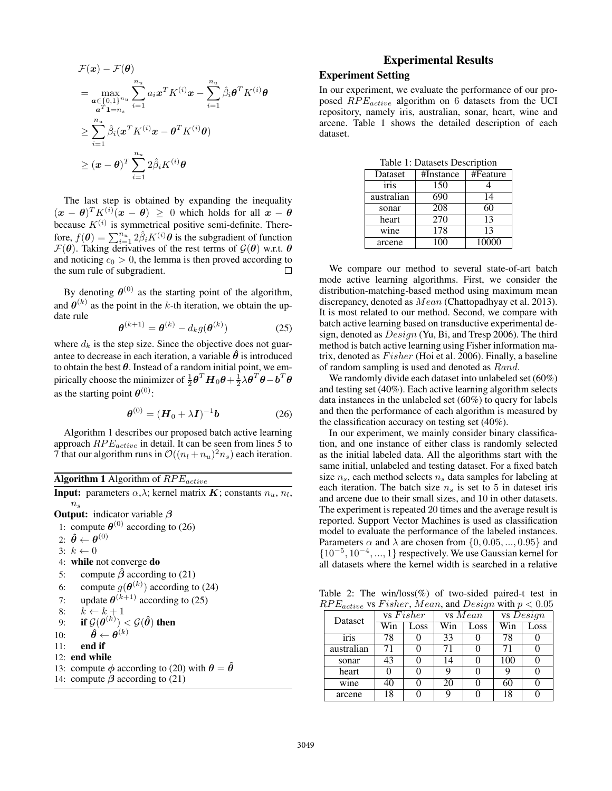$$
\mathcal{F}(\boldsymbol{x}) - \mathcal{F}(\boldsymbol{\theta})
$$
\n
$$
= \max_{\substack{\boldsymbol{\alpha} \in \{0,1\}^{n_u} \\ \boldsymbol{\alpha}^T \boldsymbol{1} = n_s}} \sum_{i=1}^{n_u} a_i \boldsymbol{x}^T K^{(i)} \boldsymbol{x} - \sum_{i=1}^{n_u} \hat{\beta}_i \boldsymbol{\theta}^T K^{(i)} \boldsymbol{\theta}
$$
\n
$$
\geq \sum_{i=1}^{n_u} \hat{\beta}_i (\boldsymbol{x}^T K^{(i)} \boldsymbol{x} - \boldsymbol{\theta}^T K^{(i)} \boldsymbol{\theta})
$$
\n
$$
\geq (\boldsymbol{x} - \boldsymbol{\theta})^T \sum_{i=1}^{n_u} 2 \hat{\beta}_i K^{(i)} \boldsymbol{\theta}
$$

The last step is obtained by expanding the inequality  $(\boldsymbol{x} - \boldsymbol{\theta})^T K^{(i)}(\boldsymbol{x} - \boldsymbol{\theta}) \geq 0$  which holds for all  $\boldsymbol{x} - \boldsymbol{\theta}$ because  $K^{(i)}$  is symmetrical positive semi-definite. Therefore,  $f(\theta) = \sum_{i=1}^{n_u} 2\hat{\beta}_i K^{(i)} \theta$  is the subgradient of function  $\mathcal{F}(\theta)$ . Taking derivatives of the rest terms of  $\mathcal{G}(\theta)$  w.r.t.  $\theta$ and noticing  $c_0 > 0$ , the lemma is then proved according to the sum rule of subgradient.  $\Box$ 

By denoting  $\theta^{(0)}$  as the starting point of the algorithm, and  $\theta^{(k)}$  as the point in the k-th iteration, we obtain the update rule

$$
\boldsymbol{\theta}^{(k+1)} = \boldsymbol{\theta}^{(k)} - d_k g(\boldsymbol{\theta}^{(k)})
$$
 (25)

where  $d_k$  is the step size. Since the objective does not guarantee to decrease in each iteration, a variable  $\hat{\theta}$  is introduced to obtain the best  $\theta$ . Instead of a random initial point, we empirically choose the minimizer of  $\frac{1}{2} \boldsymbol{\theta}^T \boldsymbol{H}_0 \boldsymbol{\theta} + \frac{1}{2} \lambda \boldsymbol{\theta}^T \boldsymbol{\theta} - \boldsymbol{b}^T \boldsymbol{\theta}$ as the starting point  $\boldsymbol{\theta}^{(0)}$ :

$$
\boldsymbol{\theta}^{(0)} = (\boldsymbol{H}_0 + \lambda \boldsymbol{I})^{-1} \boldsymbol{b} \tag{26}
$$

Algorithm 1 describes our proposed batch active learning approach  $RPE_{active}$  in detail. It can be seen from lines 5 to 7 that our algorithm runs in  $\mathcal{O}((n_l + n_u)^2 n_s)$  each iteration.

| <b>Algorithm 1</b> Algorithm of $RPE_{active}$                                               |
|----------------------------------------------------------------------------------------------|
| <b>Input:</b> parameters $\alpha, \lambda$ ; kernel matrix K; constants $n_u$ , $n_l$ ,      |
| $n_{s}$                                                                                      |
| <b>Output:</b> indicator variable $\beta$                                                    |
| 1: compute $\theta^{(0)}$ according to (26)                                                  |
| 2: $\hat{\boldsymbol{\theta}} \leftarrow \boldsymbol{\theta}^{(0)}$                          |
| $3: k \leftarrow 0$                                                                          |
| 4: while not converge do                                                                     |
| compute $\hat{\beta}$ according to (21)<br>5:                                                |
| 6: compute $g(\boldsymbol{\theta}^{(k)})$ according to (24)                                  |
| 7: update $\theta^{(k+1)}$ according to (25)                                                 |
| 8: $k \leftarrow k+1$                                                                        |
| 9: if $\mathcal{G}(\boldsymbol{\theta}^{(k)}) < \mathcal{G}(\boldsymbol{\hat{\theta}})$ then |
| $\hat{\boldsymbol{\theta}} \leftarrow \boldsymbol{\theta}^{(k)}$<br>10:                      |
| end if<br>11:                                                                                |
| $12:$ end while                                                                              |
| 13: compute $\phi$ according to (20) with $\theta = \hat{\theta}$                            |
| 14: compute $\beta$ according to (21)                                                        |

# Experimental Results

# Experiment Setting

In our experiment, we evaluate the performance of our proposed  $RPE_{active}$  algorithm on 6 datasets from the UCI repository, namely iris, australian, sonar, heart, wine and arcene. Table 1 shows the detailed description of each dataset.

Table 1: Datasets Description

| Dataset    | #Instance | #Feature |
|------------|-----------|----------|
| iris       | 150       |          |
| australian | 690       | 14       |
| sonar      | 208       | 60       |
| heart      | 270       | 13       |
| wine       | 178       | 13       |
| arcene     | 100       | 10000    |

We compare our method to several state-of-art batch mode active learning algorithms. First, we consider the distribution-matching-based method using maximum mean discrepancy, denoted as Mean (Chattopadhyay et al. 2013). It is most related to our method. Second, we compare with batch active learning based on transductive experimental design, denoted as Design (Yu, Bi, and Tresp 2006). The third method is batch active learning using Fisher information matrix, denoted as  $Fisher$  (Hoi et al. 2006). Finally, a baseline of random sampling is used and denoted as Rand.

We randomly divide each dataset into unlabeled set (60%) and testing set (40%). Each active learning algorithm selects data instances in the unlabeled set (60%) to query for labels and then the performance of each algorithm is measured by the classification accuracy on testing set (40%).

In our experiment, we mainly consider binary classification, and one instance of either class is randomly selected as the initial labeled data. All the algorithms start with the same initial, unlabeled and testing dataset. For a fixed batch size  $n_s$ , each method selects  $n_s$  data samples for labeling at each iteration. The batch size  $n<sub>s</sub>$  is set to 5 in dateset iris and arcene due to their small sizes, and 10 in other datasets. The experiment is repeated 20 times and the average result is reported. Support Vector Machines is used as classification model to evaluate the performance of the labeled instances. Parameters  $\alpha$  and  $\lambda$  are chosen from  $\{0, 0.05, ..., 0.95\}$  and {10<sup>−</sup><sup>5</sup> , 10<sup>−</sup><sup>4</sup> , ..., 1} respectively. We use Gaussian kernel for all datasets where the kernel width is searched in a relative

Table 2: The win/loss(%) of two-sided paired-t test in  $RPE_{active}$  vs Fisher, Mean, and Design with  $p < 0.05$ 

| Dataset | vs Fisher  |      | vs Mean |      | $\overline{\mathbf{vs}}$ Design |      |  |  |
|---------|------------|------|---------|------|---------------------------------|------|--|--|
|         | Win        | Loss | Win     | Loss | Win                             | Loss |  |  |
|         | iris       | 78   |         | 33   |                                 | 78   |  |  |
|         | australian | 71   |         | 71   |                                 | 71   |  |  |
|         | sonar      | 43   |         | 14   |                                 | 100  |  |  |
|         | heart      |      |         | a    |                                 |      |  |  |
|         | wine       | 40   |         | 20   |                                 | 60   |  |  |
|         | arcene     | 18   |         | о    |                                 | 18   |  |  |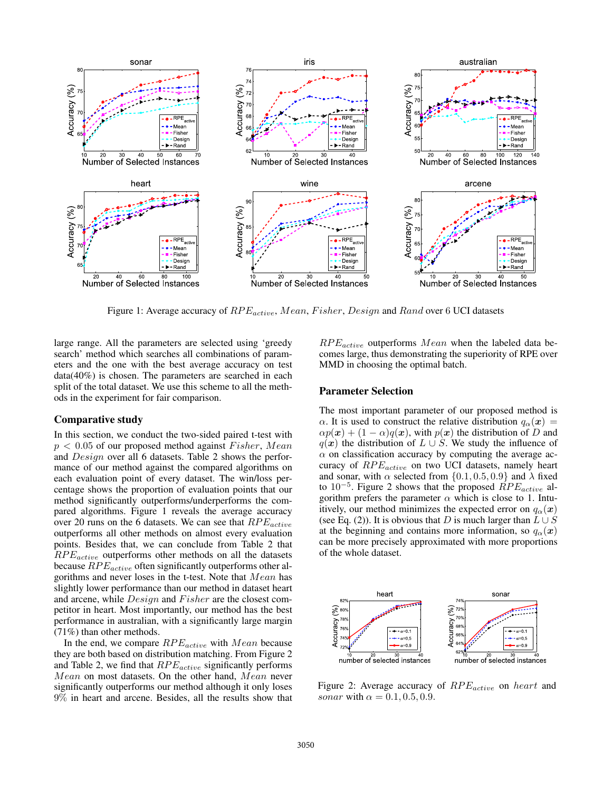

Figure 1: Average accuracy of  $RPE_{active}$ , Mean, Fisher, Design and Rand over 6 UCI datasets

large range. All the parameters are selected using 'greedy search' method which searches all combinations of parameters and the one with the best average accuracy on test data(40%) is chosen. The parameters are searched in each split of the total dataset. We use this scheme to all the methods in the experiment for fair comparison.

#### Comparative study

In this section, we conduct the two-sided paired t-test with  $p < 0.05$  of our proposed method against Fisher, Mean and Design over all 6 datasets. Table 2 shows the performance of our method against the compared algorithms on each evaluation point of every dataset. The win/loss percentage shows the proportion of evaluation points that our method significantly outperforms/underperforms the compared algorithms. Figure 1 reveals the average accuracy over 20 runs on the 6 datasets. We can see that  $RPE_{active}$ outperforms all other methods on almost every evaluation points. Besides that, we can conclude from Table 2 that  $RPE_{active}$  outperforms other methods on all the datasets because  $RPE_{active}$  often significantly outperforms other algorithms and never loses in the t-test. Note that Mean has slightly lower performance than our method in dataset heart and arcene, while  $Design$  and  $Fisher$  are the closest competitor in heart. Most importantly, our method has the best performance in australian, with a significantly large margin (71%) than other methods.

In the end, we compare  $RPE_{active}$  with  $Mean$  because they are both based on distribution matching. From Figure 2 and Table 2, we find that  $RPE_{active}$  significantly performs Mean on most datasets. On the other hand, Mean never significantly outperforms our method although it only loses 9% in heart and arcene. Besides, all the results show that

 $RPE_{active}$  outperforms  $Mean$  when the labeled data becomes large, thus demonstrating the superiority of RPE over MMD in choosing the optimal batch.

#### Parameter Selection

The most important parameter of our proposed method is  $\alpha$ . It is used to construct the relative distribution  $q_{\alpha}(\boldsymbol{x}) =$  $\alpha p(x) + (1 - \alpha)q(x)$ , with  $p(x)$  the distribution of D and  $q(x)$  the distribution of  $L \cup S$ . We study the influence of  $\alpha$  on classification accuracy by computing the average accuracy of  $RPE_{active}$  on two UCI datasets, namely heart and sonar, with  $\alpha$  selected from  $\{0.1, 0.5, 0.9\}$  and  $\lambda$  fixed to 10<sup>-5</sup>. Figure 2 shows that the proposed  $\hat{R}PE_{active}$  algorithm prefers the parameter  $\alpha$  which is close to 1. Intuitively, our method minimizes the expected error on  $q_\alpha(x)$ (see Eq. (2)). It is obvious that D is much larger than  $L \cup S$ at the beginning and contains more information, so  $q_{\alpha}(\boldsymbol{x})$ can be more precisely approximated with more proportions of the whole dataset.



Figure 2: Average accuracy of  $RPE_{active}$  on heart and sonar with  $\alpha = 0.1, 0.5, 0.9$ .